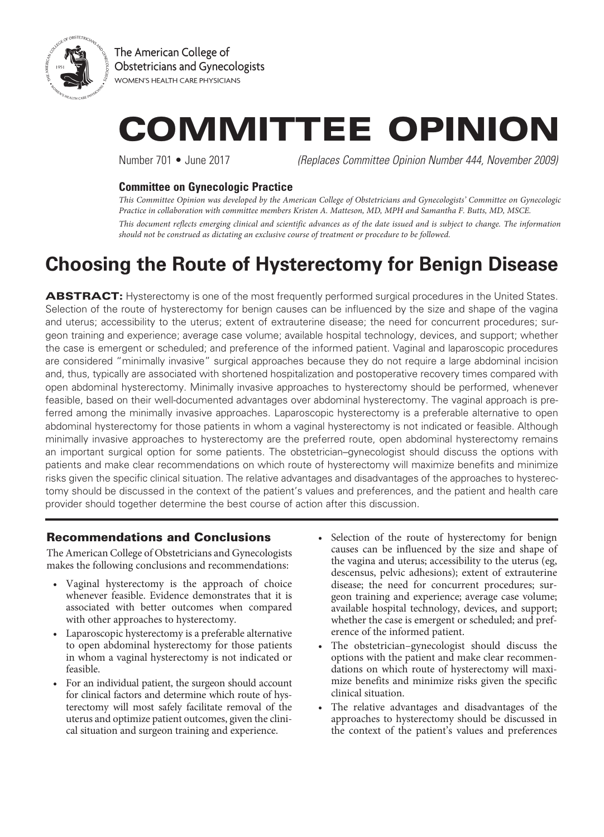

The American College of **Obstetricians and Gynecologists** WOMEN'S HEALTH CARE PHYSICIANS

# COMMITTEE OPINION

Number 701 • June 2017 *(Replaces Committee Opinion Number 444, November 2009)*

### **Committee on Gynecologic Practice**

*This Committee Opinion was developed by the American College of Obstetricians and Gynecologists' Committee on Gynecologic Practice in collaboration with committee members Kristen A. Matteson, MD, MPH and Samantha F. Butts, MD, MSCE. This document reflects emerging clinical and scientific advances as of the date issued and is subject to change. The information should not be construed as dictating an exclusive course of treatment or procedure to be followed.*

# **Choosing the Route of Hysterectomy for Benign Disease**

ABSTRACT: Hysterectomy is one of the most frequently performed surgical procedures in the United States. Selection of the route of hysterectomy for benign causes can be influenced by the size and shape of the vagina and uterus; accessibility to the uterus; extent of extrauterine disease; the need for concurrent procedures; surgeon training and experience; average case volume; available hospital technology, devices, and support; whether the case is emergent or scheduled; and preference of the informed patient. Vaginal and laparoscopic procedures are considered "minimally invasive" surgical approaches because they do not require a large abdominal incision and, thus, typically are associated with shortened hospitalization and postoperative recovery times compared with open abdominal hysterectomy. Minimally invasive approaches to hysterectomy should be performed, whenever feasible, based on their well-documented advantages over abdominal hysterectomy. The vaginal approach is preferred among the minimally invasive approaches. Laparoscopic hysterectomy is a preferable alternative to open abdominal hysterectomy for those patients in whom a vaginal hysterectomy is not indicated or feasible. Although minimally invasive approaches to hysterectomy are the preferred route, open abdominal hysterectomy remains an important surgical option for some patients. The obstetrician–gynecologist should discuss the options with patients and make clear recommendations on which route of hysterectomy will maximize benefits and minimize risks given the specific clinical situation. The relative advantages and disadvantages of the approaches to hysterectomy should be discussed in the context of the patient's values and preferences, and the patient and health care provider should together determine the best course of action after this discussion.

## Recommendations and Conclusions

The American College of Obstetricians and Gynecologists makes the following conclusions and recommendations:

- Vaginal hysterectomy is the approach of choice whenever feasible. Evidence demonstrates that it is associated with better outcomes when compared with other approaches to hysterectomy.
- Laparoscopic hysterectomy is a preferable alternative to open abdominal hysterectomy for those patients in whom a vaginal hysterectomy is not indicated or feasible.
- For an individual patient, the surgeon should account for clinical factors and determine which route of hysterectomy will most safely facilitate removal of the uterus and optimize patient outcomes, given the clinical situation and surgeon training and experience.
- Selection of the route of hysterectomy for benign causes can be influenced by the size and shape of the vagina and uterus; accessibility to the uterus (eg, descensus, pelvic adhesions); extent of extrauterine disease; the need for concurrent procedures; surgeon training and experience; average case volume; available hospital technology, devices, and support; whether the case is emergent or scheduled; and preference of the informed patient.
- The obstetrician–gynecologist should discuss the options with the patient and make clear recommendations on which route of hysterectomy will maximize benefits and minimize risks given the specific clinical situation.
- The relative advantages and disadvantages of the approaches to hysterectomy should be discussed in the context of the patient's values and preferences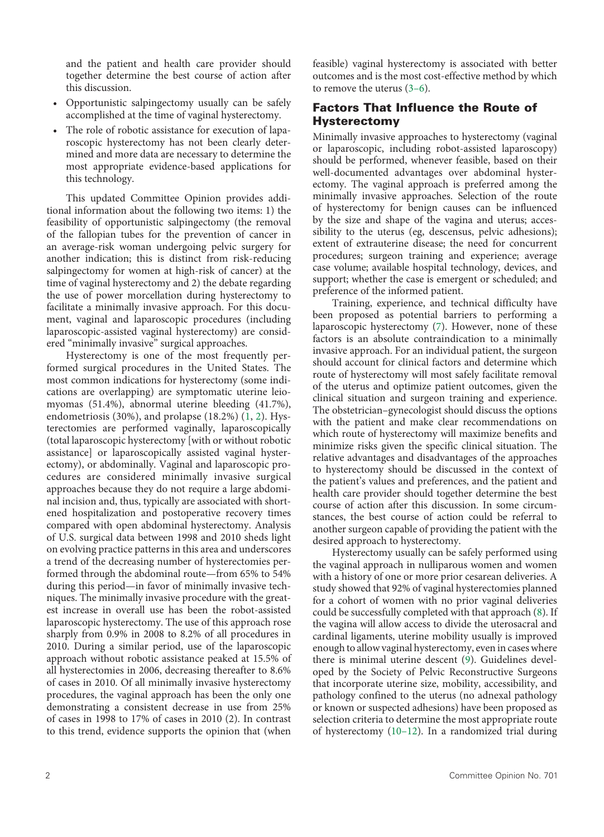and the patient and health care provider should together determine the best course of action after this discussion.

- Opportunistic salpingectomy usually can be safely accomplished at the time of vaginal hysterectomy.
- The role of robotic assistance for execution of laparoscopic hysterectomy has not been clearly determined and more data are necessary to determine the most appropriate evidence-based applications for this technology.

This updated Committee Opinion provides additional information about the following two items: 1) the feasibility of opportunistic salpingectomy (the removal of the fallopian tubes for the prevention of cancer in an average-risk woman undergoing pelvic surgery for another indication; this is distinct from risk-reducing salpingectomy for women at high-risk of cancer) at the time of vaginal hysterectomy and 2) the debate regarding the use of power morcellation during hysterectomy to facilitate a minimally invasive approach. For this document, vaginal and laparoscopic procedures (including laparoscopic-assisted vaginal hysterectomy) are considered "minimally invasive" surgical approaches.

<span id="page-1-0"></span>Hysterectomy is one of the most frequently performed surgical procedures in the United States. The most common indications for hysterectomy (some indications are overlapping) are symptomatic uterine leiomyomas (51.4%), abnormal uterine bleeding (41.7%), endometriosis (30%), and prolapse (18.2%) ([1](#page-3-0), [2](#page-3-1)). Hysterectomies are performed vaginally, laparoscopically (total laparoscopic hysterectomy [with or without robotic assistance] or laparoscopically assisted vaginal hysterectomy), or abdominally. Vaginal and laparoscopic procedures are considered minimally invasive surgical approaches because they do not require a large abdominal incision and, thus, typically are associated with shortened hospitalization and postoperative recovery times compared with open abdominal hysterectomy. Analysis of U.S. surgical data between 1998 and 2010 sheds light on evolving practice patterns in this area and underscores a trend of the decreasing number of hysterectomies performed through the abdominal route—from 65% to 54% during this period—in favor of minimally invasive techniques. The minimally invasive procedure with the greatest increase in overall use has been the robot-assisted laparoscopic hysterectomy. The use of this approach rose sharply from 0.9% in 2008 to 8.2% of all procedures in 2010. During a similar period, use of the laparoscopic approach without robotic assistance peaked at 15.5% of all hysterectomies in 2006, decreasing thereafter to 8.6% of cases in 2010. Of all minimally invasive hysterectomy procedures, the vaginal approach has been the only one demonstrating a consistent decrease in use from 25% of cases in 1998 to 17% of cases in 2010 (2). In contrast to this trend, evidence supports the opinion that (when

<span id="page-1-2"></span>feasible) vaginal hysterectomy is associated with better outcomes and is the most cost-effective method by which to remove the uterus ([3–6](#page-3-2)).

#### Factors That Influence the Route of Hysterectomy

Minimally invasive approaches to hysterectomy (vaginal or laparoscopic, including robot-assisted laparoscopy) should be performed, whenever feasible, based on their well-documented advantages over abdominal hysterectomy. The vaginal approach is preferred among the minimally invasive approaches. Selection of the route of hysterectomy for benign causes can be influenced by the size and shape of the vagina and uterus; accessibility to the uterus (eg, descensus, pelvic adhesions); extent of extrauterine disease; the need for concurrent procedures; surgeon training and experience; average case volume; available hospital technology, devices, and support; whether the case is emergent or scheduled; and preference of the informed patient.

<span id="page-1-3"></span><span id="page-1-1"></span>Training, experience, and technical difficulty have been proposed as potential barriers to performing a laparoscopic hysterectomy [\(7\)](#page-4-0). However, none of these factors is an absolute contraindication to a minimally invasive approach. For an individual patient, the surgeon should account for clinical factors and determine which route of hysterectomy will most safely facilitate removal of the uterus and optimize patient outcomes, given the clinical situation and surgeon training and experience. The obstetrician–gynecologist should discuss the options with the patient and make clear recommendations on which route of hysterectomy will maximize benefits and minimize risks given the specific clinical situation. The relative advantages and disadvantages of the approaches to hysterectomy should be discussed in the context of the patient's values and preferences, and the patient and health care provider should together determine the best course of action after this discussion. In some circumstances, the best course of action could be referral to another surgeon capable of providing the patient with the desired approach to hysterectomy.

<span id="page-1-6"></span><span id="page-1-5"></span><span id="page-1-4"></span>Hysterectomy usually can be safely performed using the vaginal approach in nulliparous women and women with a history of one or more prior cesarean deliveries. A study showed that 92% of vaginal hysterectomies planned for a cohort of women with no prior vaginal deliveries could be successfully completed with that approach [\(8](#page-4-1)). If the vagina will allow access to divide the uterosacral and cardinal ligaments, uterine mobility usually is improved enough to allow vaginal hysterectomy, even in cases where there is minimal uterine descent [\(9\)](#page-4-2). Guidelines developed by the Society of Pelvic Reconstructive Surgeons that incorporate uterine size, mobility, accessibility, and pathology confined to the uterus (no adnexal pathology or known or suspected adhesions) have been proposed as selection criteria to determine the most appropriate route of hysterectomy ([10–12\)](#page-4-3). In a randomized trial during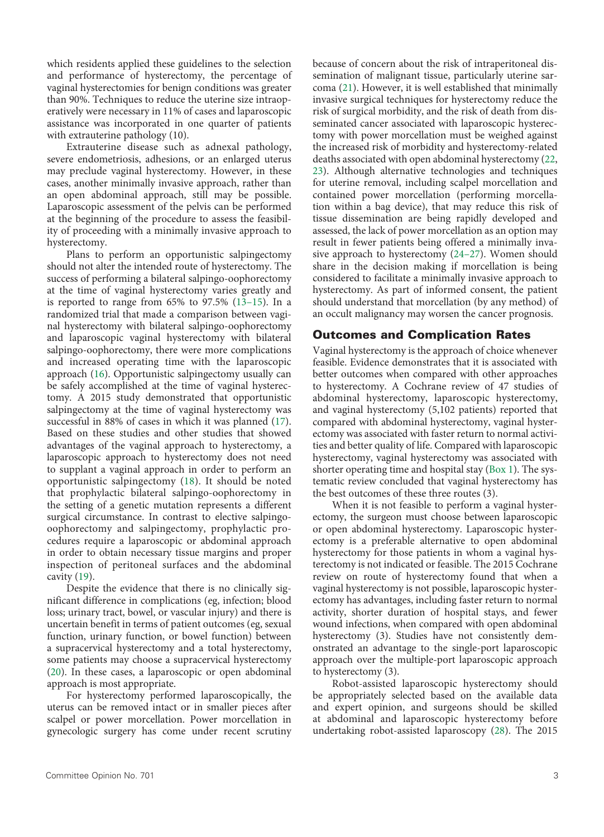which residents applied these guidelines to the selection and performance of hysterectomy, the percentage of vaginal hysterectomies for benign conditions was greater than 90%. Techniques to reduce the uterine size intraoperatively were necessary in 11% of cases and laparoscopic assistance was incorporated in one quarter of patients with extrauterine pathology (10).

Extrauterine disease such as adnexal pathology, severe endometriosis, adhesions, or an enlarged uterus may preclude vaginal hysterectomy. However, in these cases, another minimally invasive approach, rather than an open abdominal approach, still may be possible. Laparoscopic assessment of the pelvis can be performed at the beginning of the procedure to assess the feasibility of proceeding with a minimally invasive approach to hysterectomy.

<span id="page-2-7"></span><span id="page-2-6"></span><span id="page-2-5"></span>Plans to perform an opportunistic salpingectomy should not alter the intended route of hysterectomy. The success of performing a bilateral salpingo-oophorectomy at the time of vaginal hysterectomy varies greatly and is reported to range from 65% to 97.5% [\(13–15\)](#page-4-9). In a randomized trial that made a comparison between vaginal hysterectomy with bilateral salpingo-oophorectomy and laparoscopic vaginal hysterectomy with bilateral salpingo-oophorectomy, there were more complications and increased operating time with the laparoscopic approach ([16](#page-4-10)). Opportunistic salpingectomy usually can be safely accomplished at the time of vaginal hysterectomy. A 2015 study demonstrated that opportunistic salpingectomy at the time of vaginal hysterectomy was successful in 88% of cases in which it was planned [\(17\)](#page-4-11). Based on these studies and other studies that showed advantages of the vaginal approach to hysterectomy, a laparoscopic approach to hysterectomy does not need to supplant a vaginal approach in order to perform an opportunistic salpingectomy [\(18\)](#page-4-12). It should be noted that prophylactic bilateral salpingo-oophorectomy in the setting of a genetic mutation represents a different surgical circumstance. In contrast to elective salpingooophorectomy and salpingectomy, prophylactic procedures require a laparoscopic or abdominal approach in order to obtain necessary tissue margins and proper inspection of peritoneal surfaces and the abdominal cavity [\(19\)](#page-4-13).

<span id="page-2-9"></span><span id="page-2-8"></span>Despite the evidence that there is no clinically significant difference in complications (eg, infection; blood loss; urinary tract, bowel, or vascular injury) and there is uncertain benefit in terms of patient outcomes (eg, sexual function, urinary function, or bowel function) between a supracervical hysterectomy and a total hysterectomy, some patients may choose a supracervical hysterectomy ([20](#page-4-14)). In these cases, a laparoscopic or open abdominal approach is most appropriate.

<span id="page-2-10"></span>For hysterectomy performed laparoscopically, the uterus can be removed intact or in smaller pieces after scalpel or power morcellation. Power morcellation in gynecologic surgery has come under recent scrutiny <span id="page-2-11"></span><span id="page-2-2"></span><span id="page-2-1"></span>because of concern about the risk of intraperitoneal dissemination of malignant tissue, particularly uterine sarcoma ([21](#page-4-4)). However, it is well established that minimally invasive surgical techniques for hysterectomy reduce the risk of surgical morbidity, and the risk of death from disseminated cancer associated with laparoscopic hysterectomy with power morcellation must be weighed against the increased risk of morbidity and hysterectomy-related deaths associated with open abdominal hysterectomy ([22](#page-4-5), [23](#page-4-6)). Although alternative technologies and techniques for uterine removal, including scalpel morcellation and contained power morcellation (performing morcellation within a bag device), that may reduce this risk of tissue dissemination are being rapidly developed and assessed, the lack of power morcellation as an option may result in fewer patients being offered a minimally invasive approach to hysterectomy [\(24–27\)](#page-4-7). Women should share in the decision making if morcellation is being considered to facilitate a minimally invasive approach to hysterectomy. As part of informed consent, the patient should understand that morcellation (by any method) of an occult malignancy may worsen the cancer prognosis.

#### <span id="page-2-3"></span>Outcomes and Complication Rates

Vaginal hysterectomy is the approach of choice whenever feasible. Evidence demonstrates that it is associated with better outcomes when compared with other approaches to hysterectomy. A Cochrane review of 47 studies of abdominal hysterectomy, laparoscopic hysterectomy, and vaginal hysterectomy (5,102 patients) reported that compared with abdominal hysterectomy, vaginal hysterectomy was associated with faster return to normal activities and better quality of life. Compared with laparoscopic hysterectomy, vaginal hysterectomy was associated with shorter operating time and hospital stay [\(Box 1](#page-3-3)). The systematic review concluded that vaginal hysterectomy has the best outcomes of these three routes (3).

<span id="page-2-0"></span>When it is not feasible to perform a vaginal hysterectomy, the surgeon must choose between laparoscopic or open abdominal hysterectomy. Laparoscopic hysterectomy is a preferable alternative to open abdominal hysterectomy for those patients in whom a vaginal hysterectomy is not indicated or feasible. The 2015 Cochrane review on route of hysterectomy found that when a vaginal hysterectomy is not possible, laparoscopic hysterectomy has advantages, including faster return to normal activity, shorter duration of hospital stays, and fewer wound infections, when compared with open abdominal hysterectomy (3). Studies have not consistently demonstrated an advantage to the single-port laparoscopic approach over the multiple-port laparoscopic approach to hysterectomy (3).

<span id="page-2-4"></span>Robot-assisted laparoscopic hysterectomy should be appropriately selected based on the available data and expert opinion, and surgeons should be skilled at abdominal and laparoscopic hysterectomy before undertaking robot-assisted laparoscopy [\(28\)](#page-4-8). The 2015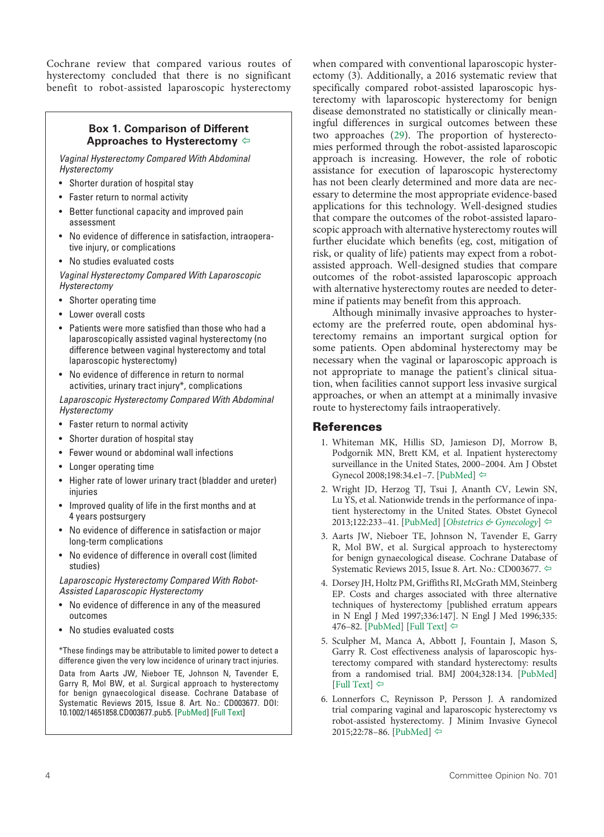Cochrane review that compared various routes of hysterectomy concluded that there is no significant benefit to robot-assisted laparoscopic hysterectomy

#### <span id="page-3-3"></span>**Box 1. Comparison of Different Approaches to Hysterectomy**

*Vaginal Hysterectomy Compared With Abdominal Hysterectomy*

- Shorter duration of hospital stay
- Faster return to normal activity
- Better functional capacity and improved pain assessment
- No evidence of difference in satisfaction, intraoperative injury, or complications
- No studies evaluated costs

*Vaginal Hysterectomy Compared With Laparoscopic Hysterectomy*

- Shorter operating time
- Lower overall costs
- Patients were more satisfied than those who had a laparoscopically assisted vaginal hysterectomy (no difference between vaginal hysterectomy and total laparoscopic hysterectomy)
- No evidence of difference in return to normal activities, urinary tract injury\*, complications

*Laparoscopic Hysterectomy Compared With Abdominal Hysterectomy*

- Faster return to normal activity
- Shorter duration of hospital stay
- Fewer wound or abdominal wall infections
- Longer operating time
- Higher rate of lower urinary tract (bladder and ureter) injuries
- Improved quality of life in the first months and at 4 years postsurgery
- No evidence of difference in satisfaction or major long-term complications
- No evidence of difference in overall cost (limited studies)

*Laparoscopic Hysterectomy Compared With Robot-Assisted Laparoscopic Hysterectomy*

- No evidence of difference in any of the measured outcomes
- No studies evaluated costs

\*These findings may be attributable to limited power to detect a difference given the very low incidence of urinary tract injuries.

Data from Aarts JW, Nieboer TE, Johnson N, Tavender E, Garry R, Mol BW, et al. Surgical approach to hysterectomy for benign gynaecological disease. Cochrane Database of Systematic Reviews 2015, Issue 8. Art. No.: CD003677. DOI: 10.1002/14651858.CD003677.pub5. [[PubMed](https://www.ncbi.nlm.nih.gov/pubmed/26264829)] [\[Full Text](http://onlinelibrary.wiley.com/doi/10.1002/14651858.CD003677.pub5/full)]

<span id="page-3-4"></span>when compared with conventional laparoscopic hysterectomy (3). Additionally, a 2016 systematic review that specifically compared robot-assisted laparoscopic hysterectomy with laparoscopic hysterectomy for benign disease demonstrated no statistically or clinically meaningful differences in surgical outcomes between these two approaches [\(29\)](#page-4-15). The proportion of hysterectomies performed through the robot-assisted laparoscopic approach is increasing. However, the role of robotic assistance for execution of laparoscopic hysterectomy has not been clearly determined and more data are necessary to determine the most appropriate evidence-based applications for this technology. Well-designed studies that compare the outcomes of the robot-assisted laparoscopic approach with alternative hysterectomy routes will further elucidate which benefits (eg, cost, mitigation of risk, or quality of life) patients may expect from a robotassisted approach. Well-designed studies that compare outcomes of the robot-assisted laparoscopic approach with alternative hysterectomy routes are needed to determine if patients may benefit from this approach.

Although minimally invasive approaches to hysterectomy are the preferred route, open abdominal hysterectomy remains an important surgical option for some patients. Open abdominal hysterectomy may be necessary when the vaginal or laparoscopic approach is not appropriate to manage the patient's clinical situation, when facilities cannot support less invasive surgical approaches, or when an attempt at a minimally invasive route to hysterectomy fails intraoperatively.

#### References

- <span id="page-3-0"></span>1. Whiteman MK, Hillis SD, Jamieson DJ, Morrow B, Podgornik MN, Brett KM, et al. Inpatient hysterectomy surveillance in the United States, 2000–2004. Am J Obstet Gynecol 2008;198:34.e1–7. [\[PubMed\]](https://www.ncbi.nlm.nih.gov/pubmed/17981254)
- <span id="page-3-1"></span>2. Wright JD, Herzog TJ, Tsui J, Ananth CV, Lewin SN, Lu YS, et al. Nationwide trends in the performance of inpatient hysterectomy in the United States. Obstet Gynecol 2013;122:233–41. [[PubMed](https://www.ncbi.nlm.nih.gov/pubmed/23969789)] [*[Obstetrics & Gynecology](http://journals.lww.com/greenjournal/Fulltext/2013/08000/Nationwide_Trends_in_the_Performance_of_Inpatient.8.aspx)*]
- <span id="page-3-2"></span>3. Aarts JW, Nieboer TE, Johnson N, Tavender E, Garry R, Mol BW, et al. Surgical approach to hysterectomy for benign gynaecological disease. Cochrane Database of Systematic Reviews 2015, Issue 8. Art. No.: CD003677.
- 4. Dorsey JH, Holtz PM, Griffiths RI, McGrath MM, Steinberg EP. Costs and charges associated with three alternative techniques of hysterectomy [published erratum appears in N Engl J Med 1997;336:147]. N Engl J Med 1996;335: 476–82. [[PubMed](https://www.ncbi.nlm.nih.gov/pubmed/8672153)] [[Full Text](http://www.nejm.org/doi/pdf/10.1056/NEJM199608153350705)]
- 5. Sculpher M, Manca A, Abbott J, Fountain J, Mason S, Garry R. Cost effectiveness analysis of laparoscopic hysterectomy compared with standard hysterectomy: results from a randomised trial. BMJ 2004;328:134. [\[PubMed\]](https://www.ncbi.nlm.nih.gov/pubmed/14711748)  $[Full Text] \Leftrightarrow$  $[Full Text] \Leftrightarrow$
- 6. Lonnerfors C, Reynisson P, Persson J. A randomized trial comparing vaginal and laparoscopic hysterectomy vs robot-assisted hysterectomy. J Minim Invasive Gynecol 2015;22:78–86. [\[PubMed\]](https://www.ncbi.nlm.nih.gov/pubmed/25045857)